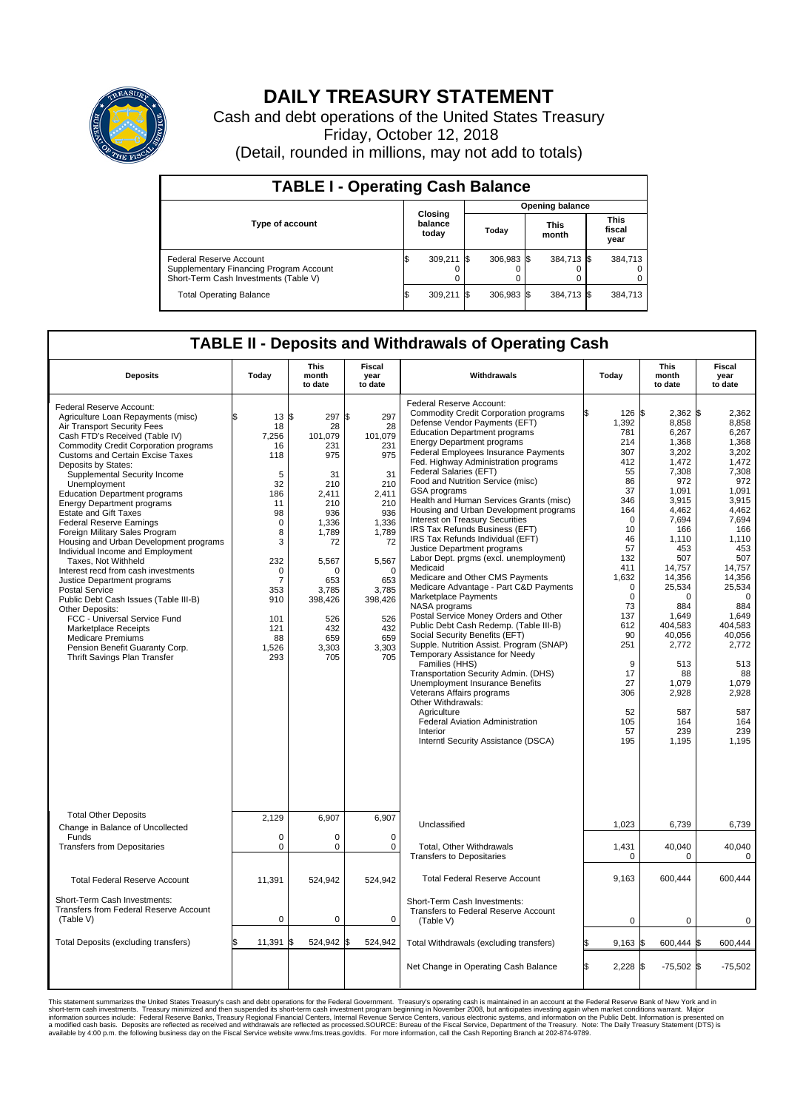

## **DAILY TREASURY STATEMENT**

Cash and debt operations of the United States Treasury Friday, October 12, 2018 (Detail, rounded in millions, may not add to totals)

| <b>TABLE I - Operating Cash Balance</b>                                                                     |                             |         |       |              |                        |            |                               |         |  |
|-------------------------------------------------------------------------------------------------------------|-----------------------------|---------|-------|--------------|------------------------|------------|-------------------------------|---------|--|
|                                                                                                             |                             |         |       |              | <b>Opening balance</b> |            |                               |         |  |
| <b>Type of account</b>                                                                                      | Closing<br>balance<br>today |         | Today |              | <b>This</b><br>month   |            | <b>This</b><br>fiscal<br>year |         |  |
| Federal Reserve Account<br>Supplementary Financing Program Account<br>Short-Term Cash Investments (Table V) |                             | 309,211 |       | $306.983$ \$ |                        | 384,713 \$ |                               | 384,713 |  |
| <b>Total Operating Balance</b>                                                                              | ß.                          | 309,211 |       | 306,983 \$   |                        | 384,713 \$ |                               | 384,713 |  |

## **TABLE II - Deposits and Withdrawals of Operating Cash**

| <b>Deposits</b>                                                                                                                                                                                                                                                                                                                                                                                                                                                                                                                                                                                                                                                                                                                                                                                                                                                                                           | Today                                                                                                                                                                        | <b>This</b><br>month<br>to date                                                                                                                                                               | Fiscal<br>year<br>to date                                                                                                                                                           | Withdrawals                                                                                                                                                                                                                                                                                                                                                                                                                                                                                                                                                                                                                                                                                                                                                                                                                                                                                                                                                                                                                                                                                                                                                                                                                   | Today                                                                                                                                                                                                                                                | This<br>month<br>to date                                                                                                                                                                                                                                                                       | Fiscal<br>year<br>to date                                                                                                                                                                                                                                                                 |
|-----------------------------------------------------------------------------------------------------------------------------------------------------------------------------------------------------------------------------------------------------------------------------------------------------------------------------------------------------------------------------------------------------------------------------------------------------------------------------------------------------------------------------------------------------------------------------------------------------------------------------------------------------------------------------------------------------------------------------------------------------------------------------------------------------------------------------------------------------------------------------------------------------------|------------------------------------------------------------------------------------------------------------------------------------------------------------------------------|-----------------------------------------------------------------------------------------------------------------------------------------------------------------------------------------------|-------------------------------------------------------------------------------------------------------------------------------------------------------------------------------------|-------------------------------------------------------------------------------------------------------------------------------------------------------------------------------------------------------------------------------------------------------------------------------------------------------------------------------------------------------------------------------------------------------------------------------------------------------------------------------------------------------------------------------------------------------------------------------------------------------------------------------------------------------------------------------------------------------------------------------------------------------------------------------------------------------------------------------------------------------------------------------------------------------------------------------------------------------------------------------------------------------------------------------------------------------------------------------------------------------------------------------------------------------------------------------------------------------------------------------|------------------------------------------------------------------------------------------------------------------------------------------------------------------------------------------------------------------------------------------------------|------------------------------------------------------------------------------------------------------------------------------------------------------------------------------------------------------------------------------------------------------------------------------------------------|-------------------------------------------------------------------------------------------------------------------------------------------------------------------------------------------------------------------------------------------------------------------------------------------|
| Federal Reserve Account:<br>Agriculture Loan Repayments (misc)<br>Air Transport Security Fees<br>Cash FTD's Received (Table IV)<br><b>Commodity Credit Corporation programs</b><br><b>Customs and Certain Excise Taxes</b><br>Deposits by States:<br>Supplemental Security Income<br>Unemployment<br><b>Education Department programs</b><br><b>Energy Department programs</b><br>Estate and Gift Taxes<br><b>Federal Reserve Earnings</b><br>Foreign Military Sales Program<br>Housing and Urban Development programs<br>Individual Income and Employment<br>Taxes, Not Withheld<br>Interest recd from cash investments<br>Justice Department programs<br><b>Postal Service</b><br>Public Debt Cash Issues (Table III-B)<br>Other Deposits:<br>FCC - Universal Service Fund<br><b>Marketplace Receipts</b><br><b>Medicare Premiums</b><br>Pension Benefit Guaranty Corp.<br>Thrift Savings Plan Transfer | \$.<br>13<br>18<br>7,256<br>16<br>118<br>5<br>32<br>186<br>11<br>98<br>$\mathbf 0$<br>8<br>3<br>232<br>0<br>$\overline{7}$<br>353<br>910<br>101<br>121<br>88<br>1,526<br>293 | l\$<br>297 \$<br>28<br>101,079<br>231<br>975<br>31<br>210<br>2,411<br>210<br>936<br>1,336<br>1,789<br>72<br>5,567<br>$\Omega$<br>653<br>3.785<br>398,426<br>526<br>432<br>659<br>3,303<br>705 | 297<br>28<br>101,079<br>231<br>975<br>31<br>210<br>2,411<br>210<br>936<br>1,336<br>1,789<br>72<br>5,567<br>$\Omega$<br>653<br>3,785<br>398,426<br>526<br>432<br>659<br>3,303<br>705 | Federal Reserve Account:<br><b>Commodity Credit Corporation programs</b><br>Defense Vendor Payments (EFT)<br><b>Education Department programs</b><br><b>Energy Department programs</b><br>Federal Employees Insurance Payments<br>Fed. Highway Administration programs<br><b>Federal Salaries (EFT)</b><br>Food and Nutrition Service (misc)<br>GSA programs<br>Health and Human Services Grants (misc)<br>Housing and Urban Development programs<br>Interest on Treasury Securities<br>IRS Tax Refunds Business (EFT)<br>IRS Tax Refunds Individual (EFT)<br>Justice Department programs<br>Labor Dept. prgms (excl. unemployment)<br>Medicaid<br>Medicare and Other CMS Payments<br>Medicare Advantage - Part C&D Payments<br>Marketplace Payments<br>NASA programs<br>Postal Service Money Orders and Other<br>Public Debt Cash Redemp. (Table III-B)<br>Social Security Benefits (EFT)<br>Supple. Nutrition Assist. Program (SNAP)<br>Temporary Assistance for Needy<br>Families (HHS)<br>Transportation Security Admin. (DHS)<br>Unemployment Insurance Benefits<br>Veterans Affairs programs<br>Other Withdrawals:<br>Agriculture<br>Federal Aviation Administration<br>Interior<br>Interntl Security Assistance (DSCA) | 126 \$<br>1,392<br>781<br>214<br>307<br>412<br>55<br>86<br>37<br>346<br>164<br>$\mathbf 0$<br>10<br>46<br>57<br>132<br>411<br>1,632<br>$\mathbf 0$<br>$\mathbf 0$<br>73<br>137<br>612<br>90<br>251<br>9<br>17<br>27<br>306<br>52<br>105<br>57<br>195 | $2,362$ \$<br>8,858<br>6,267<br>1,368<br>3,202<br>1,472<br>7,308<br>972<br>1,091<br>3,915<br>4,462<br>7,694<br>166<br>1,110<br>453<br>507<br>14,757<br>14,356<br>25,534<br>$\Omega$<br>884<br>1,649<br>404,583<br>40,056<br>2,772<br>513<br>88<br>1,079<br>2,928<br>587<br>164<br>239<br>1,195 | 2,362<br>8,858<br>6,267<br>1.368<br>3,202<br>1,472<br>7.308<br>972<br>1,091<br>3,915<br>4,462<br>7,694<br>166<br>1,110<br>453<br>507<br>14.757<br>14,356<br>25,534<br>$\Omega$<br>884<br>1,649<br>404.583<br>40,056<br>2,772<br>513<br>88<br>1,079<br>2,928<br>587<br>164<br>239<br>1,195 |
| <b>Total Other Deposits</b><br>Change in Balance of Uncollected                                                                                                                                                                                                                                                                                                                                                                                                                                                                                                                                                                                                                                                                                                                                                                                                                                           | 2.129                                                                                                                                                                        | 6,907                                                                                                                                                                                         | 6,907                                                                                                                                                                               | Unclassified                                                                                                                                                                                                                                                                                                                                                                                                                                                                                                                                                                                                                                                                                                                                                                                                                                                                                                                                                                                                                                                                                                                                                                                                                  | 1,023                                                                                                                                                                                                                                                | 6,739                                                                                                                                                                                                                                                                                          | 6,739                                                                                                                                                                                                                                                                                     |
| Funds<br><b>Transfers from Depositaries</b>                                                                                                                                                                                                                                                                                                                                                                                                                                                                                                                                                                                                                                                                                                                                                                                                                                                               | $\mathbf 0$<br>$\mathbf 0$                                                                                                                                                   | 0<br>0                                                                                                                                                                                        | $\Omega$<br>$\mathbf 0$                                                                                                                                                             | Total, Other Withdrawals<br><b>Transfers to Depositaries</b>                                                                                                                                                                                                                                                                                                                                                                                                                                                                                                                                                                                                                                                                                                                                                                                                                                                                                                                                                                                                                                                                                                                                                                  | 1,431<br>$\mathbf 0$                                                                                                                                                                                                                                 | 40,040<br>$\Omega$                                                                                                                                                                                                                                                                             | 40,040<br>$\mathbf 0$                                                                                                                                                                                                                                                                     |
| <b>Total Federal Reserve Account</b>                                                                                                                                                                                                                                                                                                                                                                                                                                                                                                                                                                                                                                                                                                                                                                                                                                                                      | 11,391                                                                                                                                                                       | 524,942                                                                                                                                                                                       | 524,942                                                                                                                                                                             | <b>Total Federal Reserve Account</b>                                                                                                                                                                                                                                                                                                                                                                                                                                                                                                                                                                                                                                                                                                                                                                                                                                                                                                                                                                                                                                                                                                                                                                                          | 9.163                                                                                                                                                                                                                                                | 600.444                                                                                                                                                                                                                                                                                        | 600.444                                                                                                                                                                                                                                                                                   |
| Short-Term Cash Investments:<br>Transfers from Federal Reserve Account<br>(Table V)                                                                                                                                                                                                                                                                                                                                                                                                                                                                                                                                                                                                                                                                                                                                                                                                                       | $\mathbf 0$                                                                                                                                                                  | $\mathbf 0$                                                                                                                                                                                   | $\Omega$                                                                                                                                                                            | Short-Term Cash Investments:<br>Transfers to Federal Reserve Account<br>(Table V)                                                                                                                                                                                                                                                                                                                                                                                                                                                                                                                                                                                                                                                                                                                                                                                                                                                                                                                                                                                                                                                                                                                                             | $\pmb{0}$                                                                                                                                                                                                                                            | 0                                                                                                                                                                                                                                                                                              | 0                                                                                                                                                                                                                                                                                         |
| Total Deposits (excluding transfers)                                                                                                                                                                                                                                                                                                                                                                                                                                                                                                                                                                                                                                                                                                                                                                                                                                                                      | 11,391                                                                                                                                                                       | l\$<br>524,942 \$                                                                                                                                                                             | 524,942                                                                                                                                                                             | Total Withdrawals (excluding transfers)                                                                                                                                                                                                                                                                                                                                                                                                                                                                                                                                                                                                                                                                                                                                                                                                                                                                                                                                                                                                                                                                                                                                                                                       | $9,163$ \$                                                                                                                                                                                                                                           | 600,444 \$                                                                                                                                                                                                                                                                                     | 600,444                                                                                                                                                                                                                                                                                   |
|                                                                                                                                                                                                                                                                                                                                                                                                                                                                                                                                                                                                                                                                                                                                                                                                                                                                                                           |                                                                                                                                                                              |                                                                                                                                                                                               |                                                                                                                                                                                     | Net Change in Operating Cash Balance                                                                                                                                                                                                                                                                                                                                                                                                                                                                                                                                                                                                                                                                                                                                                                                                                                                                                                                                                                                                                                                                                                                                                                                          | ß.<br>$2,228$ \$                                                                                                                                                                                                                                     | $-75,502$ \$                                                                                                                                                                                                                                                                                   | $-75,502$                                                                                                                                                                                                                                                                                 |

This statement summarizes the United States Treasury's cash and debt operations for the Federal Government. Treasury soperating in November 2008, but anticiarded in a cocount at the Federal Reserve Bank of New York and in<br>